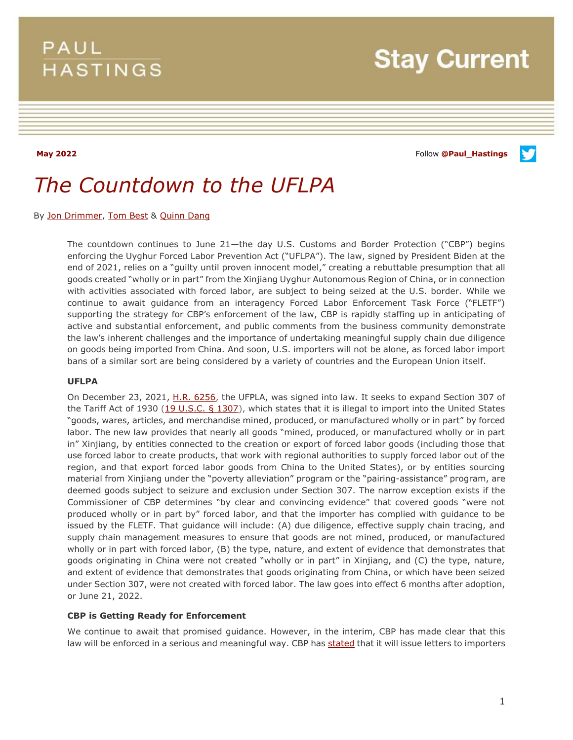## **PAUL HASTINGS**

**May 2022** Follow **[@Paul\\_Hastings](http://twitter.com/Paul_Hastings)**

v

# *The Countdown to the UFLPA*

By [Jon Drimmer,](https://www.paulhastings.com/professionals/jondrimmer) [Tom Best](https://www.paulhastings.com/professionals/tombest) & [Quinn Dang](https://www.paulhastings.com/professionals/quinndang)

The countdown continues to June 21—the day U.S. Customs and Border Protection ("CBP") begins enforcing the Uyghur Forced Labor Prevention Act ("UFLPA"). The law, signed by President Biden at the end of 2021, relies on a "guilty until proven innocent model," creating a rebuttable presumption that all goods created "wholly or in part" from the Xinjiang Uyghur Autonomous Region of China, or in connection with activities associated with forced labor, are subject to being seized at the U.S. border. While we continue to await guidance from an interagency Forced Labor Enforcement Task Force ("FLETF") supporting the strategy for CBP's enforcement of the law, CBP is rapidly staffing up in anticipating of active and substantial enforcement, and public comments from the business community demonstrate the law's inherent challenges and the importance of undertaking meaningful supply chain due diligence on goods being imported from China. And soon, U.S. importers will not be alone, as forced labor import bans of a similar sort are being considered by a variety of countries and the European Union itself.

#### **UFLPA**

On December 23, 2021, [H.R. 6256,](https://www.congress.gov/bill/117th-congress/house-bill/6256/text) the UFPLA, was signed into law. It seeks to expand Section 307 of the Tariff Act of 1930 [\(19 U.S.C. § 1307\)](http://uscode.house.gov/quicksearch/get.plx?title=19§ion=1307), which states that it is illegal to import into the United States "goods, wares, articles, and merchandise mined, produced, or manufactured wholly or in part" by forced labor. The new law provides that nearly all goods "mined, produced, or manufactured wholly or in part in" Xinjiang, by entities connected to the creation or export of forced labor goods (including those that use forced labor to create products, that work with regional authorities to supply forced labor out of the region, and that export forced labor goods from China to the United States), or by entities sourcing material from Xinjiang under the "poverty alleviation" program or the "pairing-assistance" program, are deemed goods subject to seizure and exclusion under Section 307. The narrow exception exists if the Commissioner of CBP determines "by clear and convincing evidence" that covered goods "were not produced wholly or in part by" forced labor, and that the importer has complied with guidance to be issued by the FLETF. That guidance will include: (A) due diligence, effective supply chain tracing, and supply chain management measures to ensure that goods are not mined, produced, or manufactured wholly or in part with forced labor, (B) the type, nature, and extent of evidence that demonstrates that goods originating in China were not created "wholly or in part" in Xinjiang, and (C) the type, nature, and extent of evidence that demonstrates that goods originating from China, or which have been seized under Section 307, were not created with forced labor. The law goes into effect 6 months after adoption, or June 21, 2022.

#### **CBP is Getting Ready for Enforcement**

We continue to await that promised guidance. However, in the interim, CBP has made clear that this law will be enforced in a serious and meaningful way. CBP ha[s stated](https://www.cbp.gov/trade/forced-labor/UFLPA) that it will issue letters to importers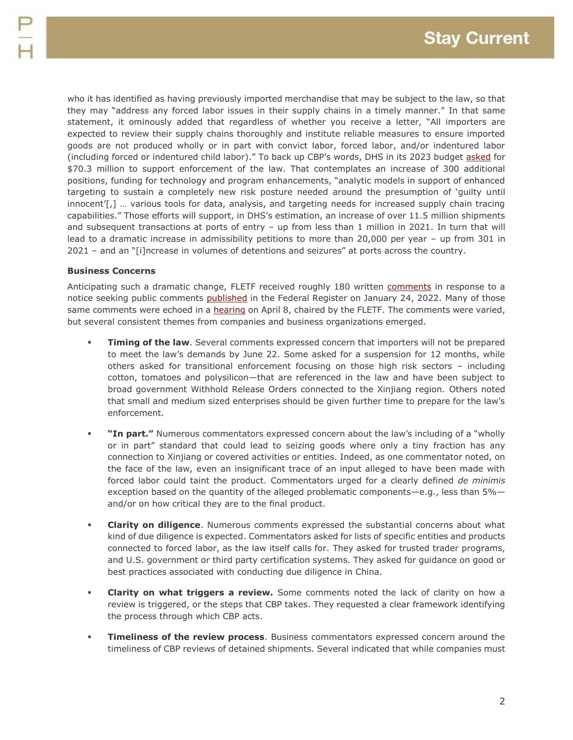who it has identified as having previously imported merchandise that may be subject to the law, so that they may "address any forced labor issues in their supply chains in a timely manner." In that same statement, it ominously added that regardless of whether you receive a letter, "All importers are expected to review their supply chains thoroughly and institute reliable measures to ensure imported goods are not produced wholly or in part with convict labor, forced labor, and/or indentured labor (including forced or indentured child labor)." To back up CBP's words, DHS in its 2023 budget [asked](https://www.dhs.gov/sites/default/files/2022-03/U.S.%20Customs%20and%20Border%20Protection_Remediated.pdf) for \$70.3 million to support enforcement of the law. That contemplates an increase of 300 additional positions, funding for technology and program enhancements, "analytic models in support of enhanced targeting to sustain a completely new risk posture needed around the presumption of 'guilty until innocent'[,] … various tools for data, analysis, and targeting needs for increased supply chain tracing capabilities." Those efforts will support, in DHS's estimation, an increase of over 11.5 million shipments and subsequent transactions at ports of entry – up from less than 1 million in 2021. In turn that will lead to a dramatic increase in admissibility petitions to more than 20,000 per year – up from 301 in 2021 – and an "[i]ncrease in volumes of detentions and seizures" at ports across the country.

#### **Business Concerns**

Anticipating such a dramatic change, FLETF received roughly 180 written [comments](https://www.regulations.gov/document/DHS-2022-0001-0001/comment) in response to a notice seeking public comments **published** in the Federal Register on January 24, 2022. Many of those same comments were echoed in a [hearing](https://www.federalregister.gov/documents/2022/03/18/2022-05738/notice-of-public-hearing-on-the-use-of-forced-labor-in-the-peoples-republic-of-china-and-measures-to) on April 8, chaired by the FLETF. The comments were varied, but several consistent themes from companies and business organizations emerged.

- **Timing of the law**. Several comments expressed concern that importers will not be prepared to meet the law's demands by June 22. Some asked for a suspension for 12 months, while others asked for transitional enforcement focusing on those high risk sectors – including cotton, tomatoes and polysilicon—that are referenced in the law and have been subject to broad government Withhold Release Orders connected to the Xinjiang region. Others noted that small and medium sized enterprises should be given further time to prepare for the law's enforcement.
- **"In part."** Numerous commentators expressed concern about the law's including of a "wholly or in part" standard that could lead to seizing goods where only a tiny fraction has any connection to Xinjiang or covered activities or entities. Indeed, as one commentator noted, on the face of the law, even an insignificant trace of an input alleged to have been made with forced labor could taint the product. Commentators urged for a clearly defined *de minimis* exception based on the quantity of the alleged problematic components—e.g., less than 5% and/or on how critical they are to the final product.
- **Clarity on diligence**. Numerous comments expressed the substantial concerns about what kind of due diligence is expected. Commentators asked for lists of specific entities and products connected to forced labor, as the law itself calls for. They asked for trusted trader programs, and U.S. government or third party certification systems. They asked for guidance on good or best practices associated with conducting due diligence in China.
- **Clarity on what triggers a review.** Some comments noted the lack of clarity on how a review is triggered, or the steps that CBP takes. They requested a clear framework identifying the process through which CBP acts.
- **Timeliness of the review process**. Business commentators expressed concern around the timeliness of CBP reviews of detained shipments. Several indicated that while companies must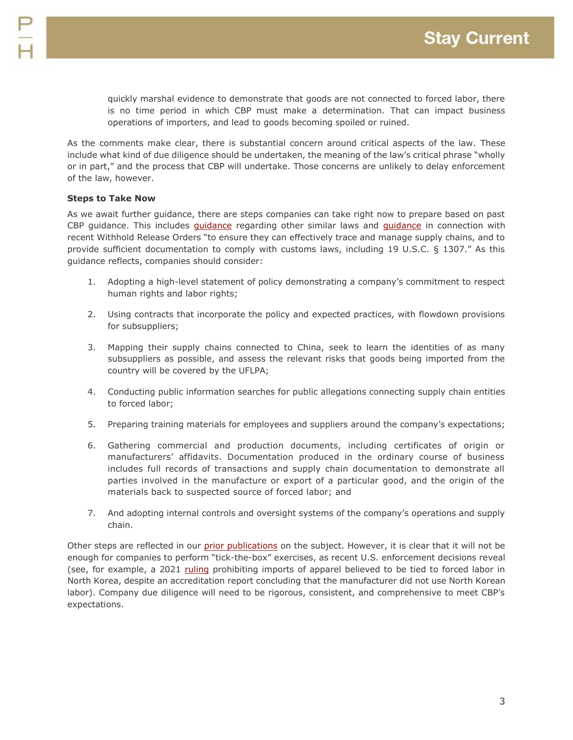quickly marshal evidence to demonstrate that goods are not connected to forced labor, there is no time period in which CBP must make a determination. That can impact business operations of importers, and lead to goods becoming spoiled or ruined.

As the comments make clear, there is substantial concern around critical aspects of the law. These include what kind of due diligence should be undertaken, the meaning of the law's critical phrase "wholly or in part," and the process that CBP will undertake. Those concerns are unlikely to delay enforcement of the law, however.

### **Steps to Take Now**

As we await further guidance, there are steps companies can take right now to prepare based on past CBP [guidance](https://www.cbp.gov/document/guidance/hoshine-wro-updated-guidance-document-industry). This includes *guidance* regarding other similar laws and *guidance* in connection with recent Withhold Release Orders "to ensure they can effectively trace and manage supply chains, and to provide sufficient documentation to comply with customs laws, including 19 U.S.C. § 1307." As this guidance reflects, companies should consider:

- 1. Adopting a high-level statement of policy demonstrating a company's commitment to respect human rights and labor rights;
- 2. Using contracts that incorporate the policy and expected practices, with flowdown provisions for subsuppliers;
- 3. Mapping their supply chains connected to China, seek to learn the identities of as many subsuppliers as possible, and assess the relevant risks that goods being imported from the country will be covered by the UFLPA;
- 4. Conducting public information searches for public allegations connecting supply chain entities to forced labor;
- 5. Preparing training materials for employees and suppliers around the company's expectations;
- 6. Gathering commercial and production documents, including certificates of origin or manufacturers' affidavits. Documentation produced in the ordinary course of business includes full records of transactions and supply chain documentation to demonstrate all parties involved in the manufacture or export of a particular good, and the origin of the materials back to suspected source of forced labor; and
- 7. And adopting internal controls and oversight systems of the company's operations and supply chain.

Other steps are reflected in our [prior publications](https://www.paulhastings.com/insights/international-regulatory-enforcement/pl-117-78-december-23-2021-the-uyghur-forced-labor-prevention-act) on the subject. However, it is clear that it will not be enough for companies to perform "tick-the-box" exercises, as recent U.S. enforcement decisions reveal (see, for example, a 2021 [ruling](https://rulings.cbp.gov/ruling/H317249) prohibiting imports of apparel believed to be tied to forced labor in North Korea, despite an accreditation report concluding that the manufacturer did not use North Korean labor). Company due diligence will need to be rigorous, consistent, and comprehensive to meet CBP's expectations.